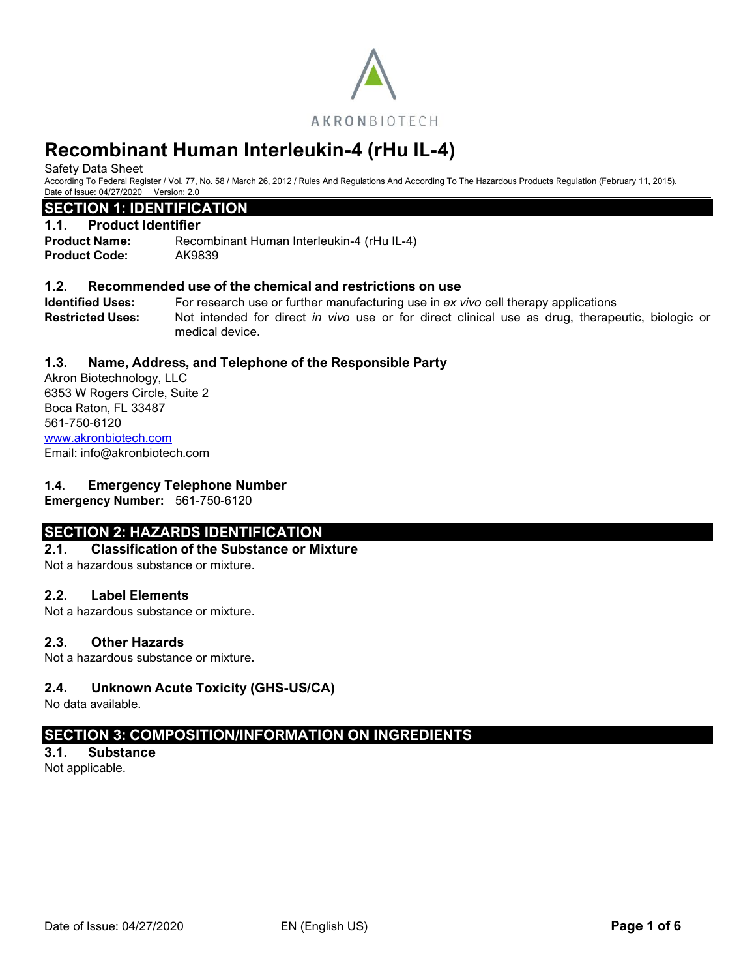

Safety Data Sheet

According To Federal Register / Vol. 77, No. 58 / March 26, 2012 / Rules And Regulations And According To The Hazardous Products Regulation (February 11, 2015). Date of Issue: 04/27/2020 Version: 2.0

# **SECTION 1: IDENTIFICATION**

# **1.1. Product Identifier**

**Product Name:** Recombinant Human Interleukin-4 (rHu IL-4) **Product Code:** AK9839

# **1.2. Recommended use of the chemical and restrictions on use**

**Identified Uses:** For research use or further manufacturing use in *ex vivo* cell therapy applications **Restricted Uses:** Not intended for direct *in vivo* use or for direct clinical use as drug, therapeutic, biologic or medical device.

# **1.3. Name, Address, and Telephone of the Responsible Party**

Akron Biotechnology, LLC 6353 W Rogers Circle, Suite 2 Boca Raton, FL 33487 561-750-6120 [www.akronbiotech.com](http://www.akronbiotech.com/%3c/a) Email: info@akronbiotech.com

# **1.4. Emergency Telephone Number**

**Emergency Number:** 561-750-6120

# **SECTION 2: HAZARDS IDENTIFICATION**

## **2.1. Classification of the Substance or Mixture**

Not a hazardous substance or mixture.

## **2.2. Label Elements**

Not a hazardous substance or mixture.

## **2.3. Other Hazards**

Not a hazardous substance or mixture.

# **2.4. Unknown Acute Toxicity (GHS-US/CA)**

No data available.

# **SECTION 3: COMPOSITION/INFORMATION ON INGREDIENTS**

**3.1. Substance** Not applicable.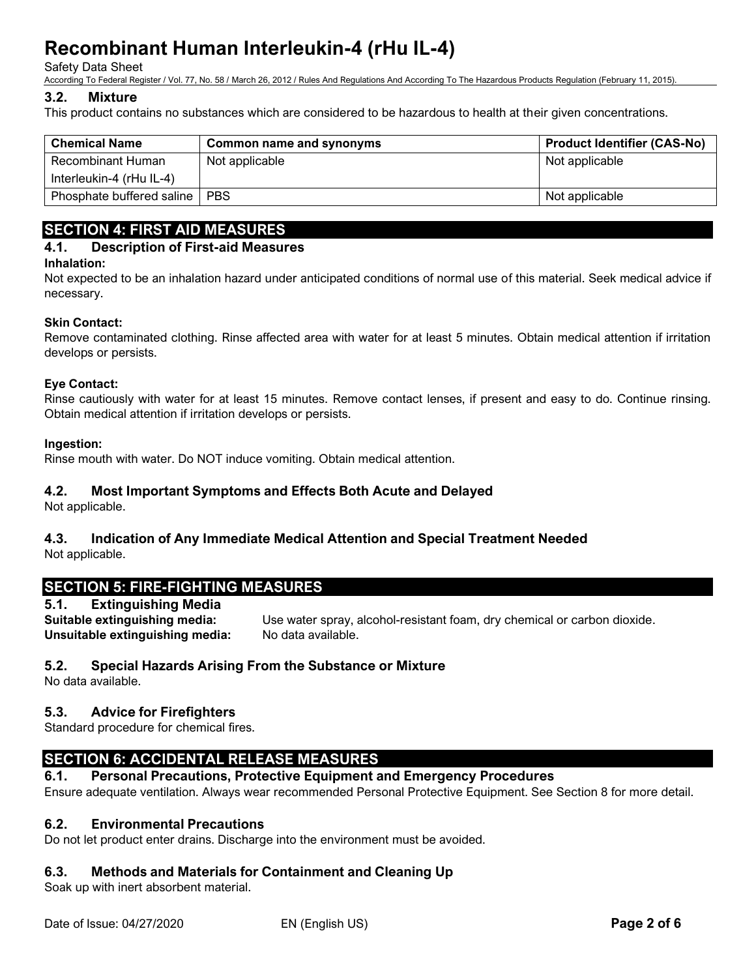#### Safety Data Sheet

According To Federal Register / Vol. 77, No. 58 / March 26, 2012 / Rules And Regulations And According To The Hazardous Products Regulation (February 11, 2015).

#### **3.2. Mixture**

This product contains no substances which are considered to be hazardous to health at their given concentrations.

| <b>Chemical Name</b>      | Common name and synonyms | <b>Product Identifier (CAS-No)</b> |
|---------------------------|--------------------------|------------------------------------|
| Recombinant Human         | Not applicable           | Not applicable                     |
| Interleukin-4 (rHu IL-4)  |                          |                                    |
| Phosphate buffered saline | <b>PBS</b>               | Not applicable                     |

# **SECTION 4: FIRST AID MEASURES**

# **4.1. Description of First-aid Measures**

#### **Inhalation:**

Not expected to be an inhalation hazard under anticipated conditions of normal use of this material. Seek medical advice if necessary.

#### **Skin Contact:**

Remove contaminated clothing. Rinse affected area with water for at least 5 minutes. Obtain medical attention if irritation develops or persists.

#### **Eye Contact:**

Rinse cautiously with water for at least 15 minutes. Remove contact lenses, if present and easy to do. Continue rinsing. Obtain medical attention if irritation develops or persists.

#### **Ingestion:**

Rinse mouth with water. Do NOT induce vomiting. Obtain medical attention.

## **4.2. Most Important Symptoms and Effects Both Acute and Delayed**

Not applicable.

# **4.3. Indication of Any Immediate Medical Attention and Special Treatment Needed**

Not applicable.

# **SECTION 5: FIRE-FIGHTING MEASURES**

**5.1. Extinguishing Media Suitable extinguishing media:** Use water spray, alcohol-resistant foam, dry chemical or carbon dioxide. **Unsuitable extinguishing media:** No data available.

## **5.2. Special Hazards Arising From the Substance or Mixture**

No data available.

## **5.3. Advice for Firefighters**

Standard procedure for chemical fires.

# **SECTION 6: ACCIDENTAL RELEASE MEASURES**

## **6.1. Personal Precautions, Protective Equipment and Emergency Procedures**

Ensure adequate ventilation. Always wear recommended Personal Protective Equipment. See Section 8 for more detail.

## **6.2. Environmental Precautions**

Do not let product enter drains. Discharge into the environment must be avoided.

## **6.3. Methods and Materials for Containment and Cleaning Up**

Soak up with inert absorbent material.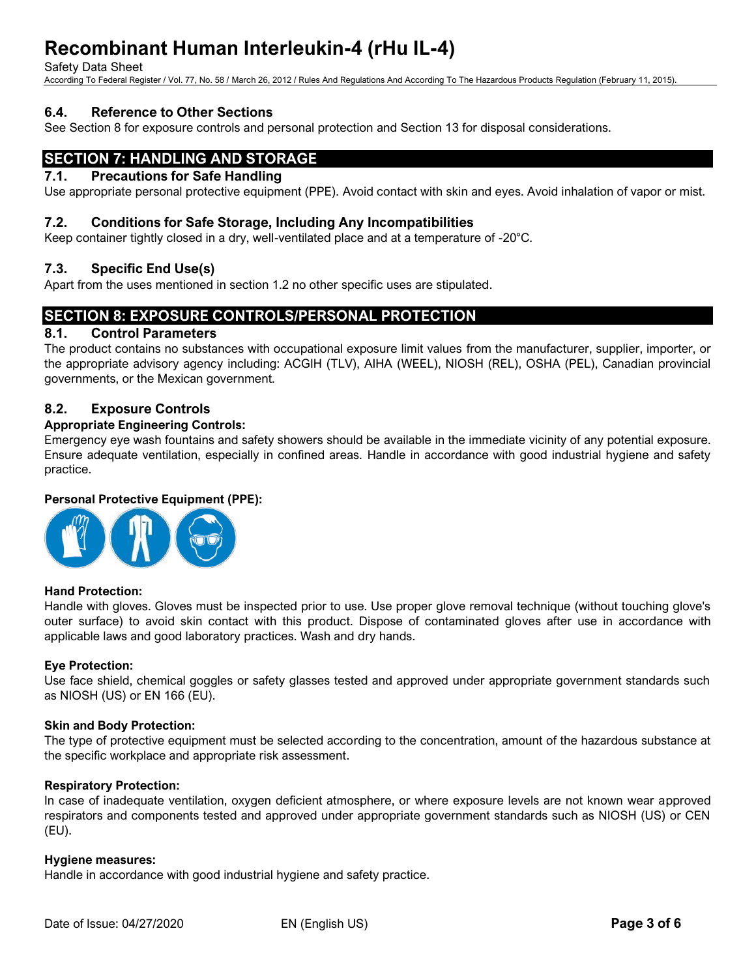Safety Data Sheet

According To Federal Register / Vol. 77, No. 58 / March 26, 2012 / Rules And Regulations And According To The Hazardous Products Regulation (February 11, 2015).

# **6.4. Reference to Other Sections**

See Section 8 for exposure controls and personal protection and Section 13 for disposal considerations.

# **SECTION 7: HANDLING AND STORAGE**

#### **7.1. Precautions for Safe Handling**

Use appropriate personal protective equipment (PPE). Avoid contact with skin and eyes. Avoid inhalation of vapor or mist.

#### **7.2. Conditions for Safe Storage, Including Any Incompatibilities**

Keep container tightly closed in a dry, well-ventilated place and at a temperature of -20°C.

## **7.3. Specific End Use(s)**

Apart from the uses mentioned in section 1.2 no other specific uses are stipulated.

# **SECTION 8: EXPOSURE CONTROLS/PERSONAL PROTECTION**

# **8.1. Control Parameters**

The product contains no substances with occupational exposure limit values from the manufacturer, supplier, importer, or the appropriate advisory agency including: ACGIH (TLV), AIHA (WEEL), NIOSH (REL), OSHA (PEL), Canadian provincial governments, or the Mexican government.

## **8.2. Exposure Controls**

#### **Appropriate Engineering Controls:**

Emergency eye wash fountains and safety showers should be available in the immediate vicinity of any potential exposure. Ensure adequate ventilation, especially in confined areas. Handle in accordance with good industrial hygiene and safety practice.

#### **Personal Protective Equipment (PPE):**



#### **Hand Protection:**

Handle with gloves. Gloves must be inspected prior to use. Use proper glove removal technique (without touching glove's outer surface) to avoid skin contact with this product. Dispose of contaminated gloves after use in accordance with applicable laws and good laboratory practices. Wash and dry hands.

#### **Eye Protection:**

Use face shield, chemical goggles or safety glasses tested and approved under appropriate government standards such as NIOSH (US) or EN 166 (EU).

#### **Skin and Body Protection:**

The type of protective equipment must be selected according to the concentration, amount of the hazardous substance at the specific workplace and appropriate risk assessment.

#### **Respiratory Protection:**

In case of inadequate ventilation, oxygen deficient atmosphere, or where exposure levels are not known wear approved respirators and components tested and approved under appropriate government standards such as NIOSH (US) or CEN (EU).

#### **Hygiene measures:**

Handle in accordance with good industrial hygiene and safety practice.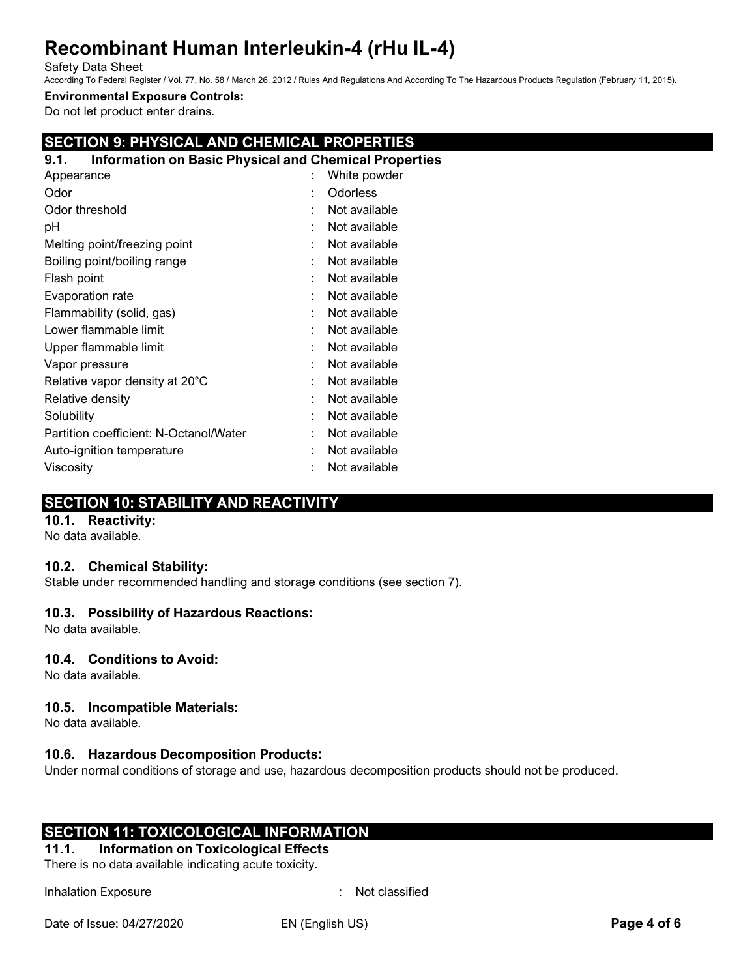#### Safety Data Sheet

According To Federal Register / Vol. 77, No. 58 / March 26, 2012 / Rules And Regulations And According To The Hazardous Products Regulation (February 11, 2015).

**Environmental Exposure Controls:**

Do not let product enter drains.

# **SECTION 9: PHYSICAL AND CHEMICAL PROPERTIES**

# **9.1. Information on Basic Physical and Chemical Properties**

| Appearance                             |   | White powder  |
|----------------------------------------|---|---------------|
| Odor                                   |   | Odorless      |
| Odor threshold                         |   | Not available |
| рH                                     |   | Not available |
| Melting point/freezing point           |   | Not available |
| Boiling point/boiling range            |   | Not available |
| Flash point                            |   | Not available |
| Evaporation rate                       | ٠ | Not available |
| Flammability (solid, gas)              |   | Not available |
| Lower flammable limit                  |   | Not available |
| Upper flammable limit                  |   | Not available |
| Vapor pressure                         |   | Not available |
| Relative vapor density at 20°C         |   | Not available |
| Relative density                       |   | Not available |
| Solubility                             |   | Not available |
| Partition coefficient: N-Octanol/Water |   | Not available |
| Auto-ignition temperature              |   | Not available |
| Viscositv                              |   | Not available |

# **SECTION 10: STABILITY AND REACTIVITY**

# **10.1. Reactivity:**

No data available.

## **10.2. Chemical Stability:**

Stable under recommended handling and storage conditions (see section 7).

## **10.3. Possibility of Hazardous Reactions:**

No data available.

## **10.4. Conditions to Avoid:**

No data available.

## **10.5. Incompatible Materials:**

No data available.

## **10.6. Hazardous Decomposition Products:**

Under normal conditions of storage and use, hazardous decomposition products should not be produced.

# **SECTION 11: TOXICOLOGICAL INFORMATION**

**11.1. Information on Toxicological Effects** There is no data available indicating acute toxicity.

Inhalation Exposure in the state of the state of the state of the state of the state of the state of the state of the state of the state of the state of the state of the state of the state of the state of the state of the

Date of Issue: 04/27/2020 EN (English US) **Page 4 of 6**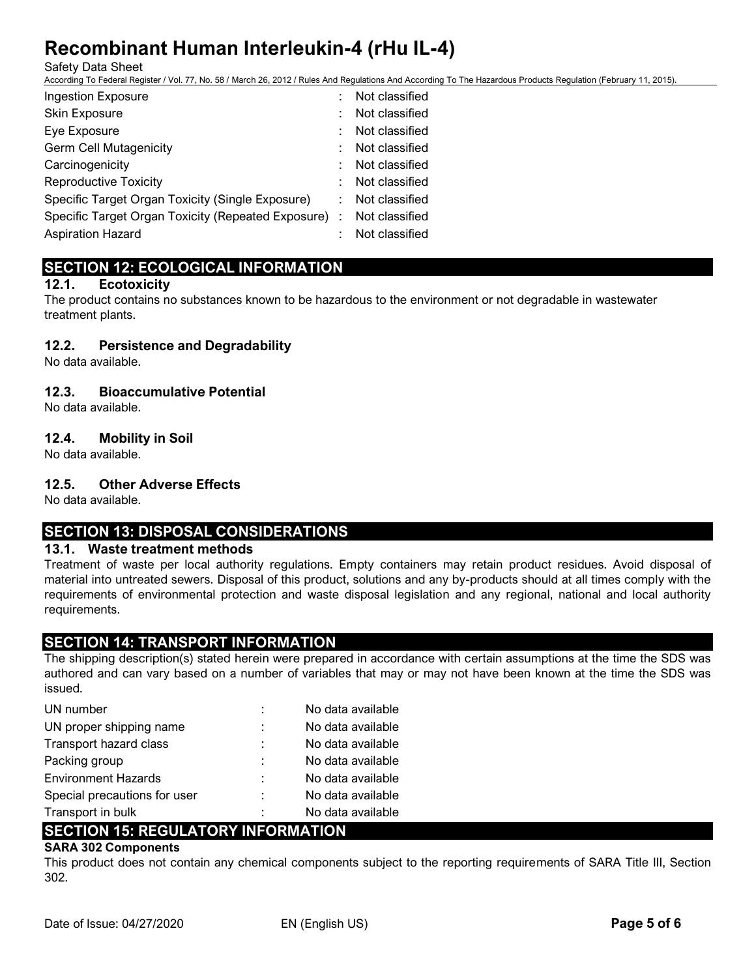Safety Data Sheet

According To Federal Register / Vol. 77, No. 58 / March 26, 2012 / Rules And Regulations And According To The Hazardous Products Regulation (February 11, 2015).

| <b>Ingestion Exposure</b>                            | Not classified |
|------------------------------------------------------|----------------|
| <b>Skin Exposure</b>                                 | Not classified |
| Eye Exposure                                         | Not classified |
| <b>Germ Cell Mutagenicity</b>                        | Not classified |
| Carcinogenicity                                      | Not classified |
| <b>Reproductive Toxicity</b>                         | Not classified |
| Specific Target Organ Toxicity (Single Exposure)     | Not classified |
| Specific Target Organ Toxicity (Repeated Exposure) : | Not classified |
| <b>Aspiration Hazard</b>                             | Not classified |

# **SECTION 12: ECOLOGICAL INFORMATION**

# **12.1. Ecotoxicity**

The product contains no substances known to be hazardous to the environment or not degradable in wastewater treatment plants.

# **12.2. Persistence and Degradability**

No data available.

# **12.3. Bioaccumulative Potential**

No data available.

# **12.4. Mobility in Soil**

No data available.

# **12.5. Other Adverse Effects**

No data available.

# **SECTION 13: DISPOSAL CONSIDERATIONS**

## **13.1. Waste treatment methods**

Treatment of waste per local authority regulations. Empty containers may retain product residues. Avoid disposal of material into untreated sewers. Disposal of this product, solutions and any by-products should at all times comply with the requirements of environmental protection and waste disposal legislation and any regional, national and local authority requirements.

# **SECTION 14: TRANSPORT INFORMATION**

The shipping description(s) stated herein were prepared in accordance with certain assumptions at the time the SDS was authored and can vary based on a number of variables that may or may not have been known at the time the SDS was issued.

| UN number                    |   | No data available |
|------------------------------|---|-------------------|
| UN proper shipping name      | ÷ | No data available |
| Transport hazard class       |   | No data available |
| Packing group                | ÷ | No data available |
| <b>Environment Hazards</b>   |   | No data available |
| Special precautions for user | ÷ | No data available |
| Transport in bulk            | ÷ | No data available |

# **SECTION 15: REGULATORY INFORMATION**

# **SARA 302 Components**

This product does not contain any chemical components subject to the reporting requirements of SARA Title III, Section 302.